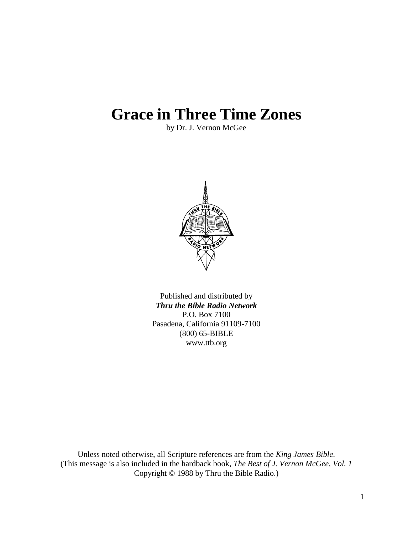# **Grace in Three Time Zones**

by Dr. J. Vernon McGee



Published and distributed by *Thru the Bible Radio Network* P.O. Box 7100 Pasadena, California 91109-7100 (800) 65-BIBLE www.ttb.org

Unless noted otherwise, all Scripture references are from the *King James Bible*. (This message is also included in the hardback book, *The Best of J. Vernon McGee, Vol. 1* Copyright © 1988 by Thru the Bible Radio.)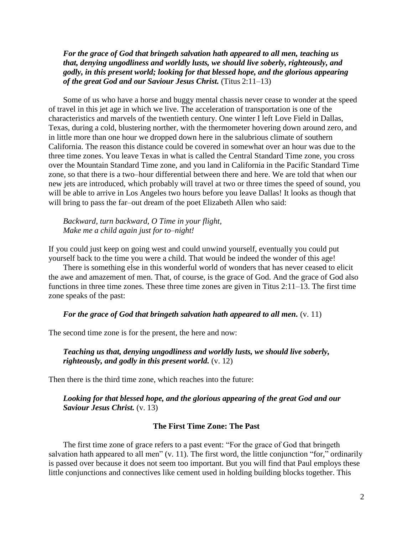*For the grace of God that bringeth salvation hath appeared to all men, teaching us that, denying ungodliness and worldly lusts, we should live soberly, righteously, and godly, in this present world; looking for that blessed hope, and the glorious appearing of the great God and our Saviour Jesus Christ.* (Titus 2:11–13)

Some of us who have a horse and buggy mental chassis never cease to wonder at the speed of travel in this jet age in which we live. The acceleration of transportation is one of the characteristics and marvels of the twentieth century. One winter I left Love Field in Dallas, Texas, during a cold, blustering norther, with the thermometer hovering down around zero, and in little more than one hour we dropped down here in the salubrious climate of southern California. The reason this distance could be covered in somewhat over an hour was due to the three time zones. You leave Texas in what is called the Central Standard Time zone, you cross over the Mountain Standard Time zone, and you land in California in the Pacific Standard Time zone, so that there is a two–hour differential between there and here. We are told that when our new jets are introduced, which probably will travel at two or three times the speed of sound, you will be able to arrive in Los Angeles two hours before you leave Dallas! It looks as though that will bring to pass the far–out dream of the poet Elizabeth Allen who said:

*Backward, turn backward, O Time in your flight, Make me a child again just for to*–*night!*

If you could just keep on going west and could unwind yourself, eventually you could put yourself back to the time you were a child. That would be indeed the wonder of this age!

There is something else in this wonderful world of wonders that has never ceased to elicit the awe and amazement of men. That, of course, is the grace of God. And the grace of God also functions in three time zones. These three time zones are given in Titus 2:11–13. The first time zone speaks of the past:

#### *For the grace of God that bringeth salvation hath appeared to all men.* (v. 11)

The second time zone is for the present, the here and now:

*Teaching us that, denying ungodliness and worldly lusts, we should live soberly, righteously, and godly in this present world.* (v. 12)

Then there is the third time zone, which reaches into the future:

*Looking for that blessed hope, and the glorious appearing of the great God and our Saviour Jesus Christ.* (v. 13)

#### **The First Time Zone: The Past**

The first time zone of grace refers to a past event: "For the grace of God that bringeth salvation hath appeared to all men"  $(v, 11)$ . The first word, the little conjunction "for," ordinarily is passed over because it does not seem too important. But you will find that Paul employs these little conjunctions and connectives like cement used in holding building blocks together. This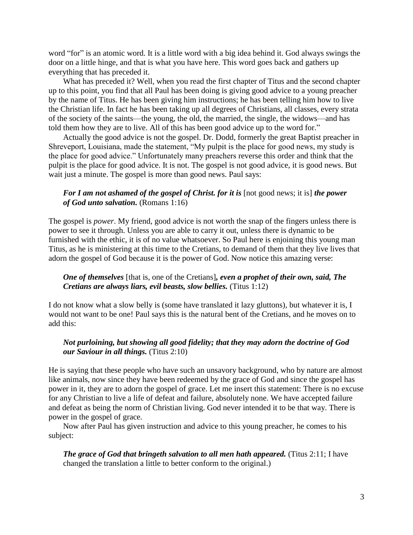word "for" is an atomic word. It is a little word with a big idea behind it. God always swings the door on a little hinge, and that is what you have here. This word goes back and gathers up everything that has preceded it.

What has preceded it? Well, when you read the first chapter of Titus and the second chapter up to this point, you find that all Paul has been doing is giving good advice to a young preacher by the name of Titus. He has been giving him instructions; he has been telling him how to live the Christian life. In fact he has been taking up all degrees of Christians, all classes, every strata of the society of the saints—the young, the old, the married, the single, the widows—and has told them how they are to live. All of this has been good advice up to the word for."

Actually the good advice is not the gospel. Dr. Dodd, formerly the great Baptist preacher in Shreveport, Louisiana, made the statement, "My pulpit is the place for good news, my study is the place for good advice." Unfortunately many preachers reverse this order and think that the pulpit is the place for good advice. It is not. The gospel is not good advice, it is good news. But wait just a minute. The gospel is more than good news. Paul says:

## *For I am not ashamed of the gospel of Christ. for it is* [not good news; it is] *the power of God unto salvation.* (Romans 1:16)

The gospel is *power*. My friend, good advice is not worth the snap of the fingers unless there is power to see it through. Unless you are able to carry it out, unless there is dynamic to be furnished with the ethic, it is of no value whatsoever. So Paul here is enjoining this young man Titus, as he is ministering at this time to the Cretians, to demand of them that they live lives that adorn the gospel of God because it is the power of God. Now notice this amazing verse:

# *One of themselves* [that is, one of the Cretians]*, even a prophet of their own, said, The Cretians are always liars, evil beasts, slow bellies.* (Titus 1:12)

I do not know what a slow belly is (some have translated it lazy gluttons), but whatever it is, I would not want to be one! Paul says this is the natural bent of the Cretians, and he moves on to add this:

## *Not purloining, but showing all good fidelity; that they may adorn the doctrine of God our Saviour in all things.* (Titus 2:10)

He is saying that these people who have such an unsavory background, who by nature are almost like animals, now since they have been redeemed by the grace of God and since the gospel has power in it, they are to adorn the gospel of grace. Let me insert this statement: There is no excuse for any Christian to live a life of defeat and failure, absolutely none. We have accepted failure and defeat as being the norm of Christian living. God never intended it to be that way. There is power in the gospel of grace.

Now after Paul has given instruction and advice to this young preacher, he comes to his subject:

*The grace of God that bringeth salvation to all men hath appeared.* (Titus 2:11; I have changed the translation a little to better conform to the original.)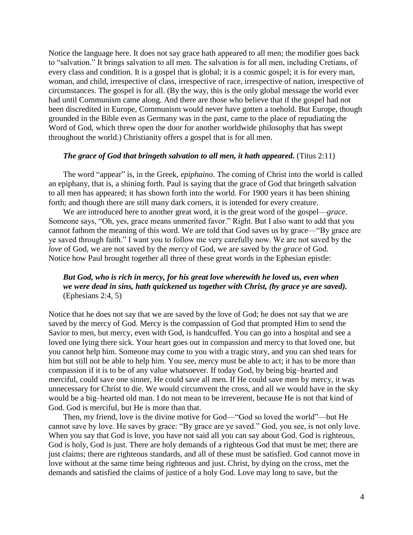Notice the language here. It does not say grace hath appeared to all men; the modifier goes back to "salvation." It brings salvation to all men. The salvation is for all men, including Cretians, of every class and condition. It is a gospel that is global; it is a cosmic gospel; it is for every man, woman, and child, irrespective of class, irrespective of race, irrespective of nation, irrespective of circumstances. The gospel is for all. (By the way, this is the only global message the world ever had until Communism came along. And there are those who believe that if the gospel had not been discredited in Europe, Communism would never have gotten a toehold. But Europe, though grounded in the Bible even as Germany was in the past, came to the place of repudiating the Word of God, which threw open the door for another worldwide philosophy that has swept throughout the world.) Christianity offers a gospel that is for all men.

#### *The grace of God that bringeth salvation to all men, it hath appeared.* (Titus 2:11)

The word "appear" is, in the Greek, *epiphaino*. The coming of Christ into the world is called an epiphany, that is, a shining forth. Paul is saying that the grace of God that bringeth salvation to all men has appeared; it has shown forth into the world. For 1900 years it has been shining forth; and though there are still many dark corners, it is intended for every creature.

We are introduced here to another great word, it is the great word of the gospel—*grace*. Someone says, "Oh, yes, grace means unmerited favor." Right. But I also want to add that you cannot fathom the meaning of this word. We are told that God saves us by grace—"By grace are ye saved through faith." I want you to follow me very carefully now. We are not saved by the *love* of God, we are not saved by the *mercy* of God, we are saved by the *grace* of God. Notice how Paul brought together all three of these great words in the Ephesian epistle:

# *But God, who is rich in mercy, for his great love wherewith he loved us, even when we were dead in sins, hath quickened us together with Christ, (by grace ye are saved).*  (Ephesians 2:4, 5)

Notice that he does not say that we are saved by the love of God; he does not say that we are saved by the mercy of God. Mercy is the compassion of God that prompted Him to send the Savior to men, but mercy, even with God, is handcuffed. You can go into a hospital and see a loved one lying there sick. Your heart goes out in compassion and mercy to that loved one, but you cannot help him. Someone may come to you with a tragic story, and you can shed tears for him but still not be able to help him. You see, mercy must be able to act; it has to be more than compassion if it is to be of any value whatsoever. If today God, by being big–hearted and merciful, could save one sinner, He could save all men. If He could save men by mercy, it was unnecessary for Christ to die. We would circumvent the cross, and all we would have in the sky would be a big–hearted old man. I do not mean to be irreverent, because He is not that kind of God. God is merciful, but He is more than that.

Then, my friend, love is the divine motive for God—"God so loved the world"—but He cannot save by love. He saves by grace: "By grace are ye saved." God, you see, is not only love. When you say that God is love, you have not said all you can say about God. God is righteous, God is holy, God is just. There are holy demands of a righteous God that must be met; there are just claims; there are righteous standards, and all of these must be satisfied. God cannot move in love without at the same time being righteous and just. Christ, by dying on the cross, met the demands and satisfied the claims of justice of a holy God. Love may long to save, but the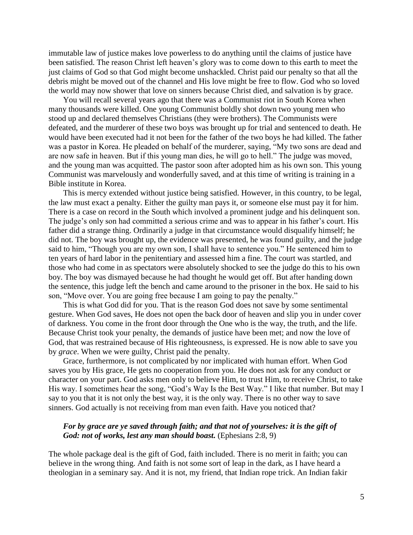immutable law of justice makes love powerless to do anything until the claims of justice have been satisfied. The reason Christ left heaven's glory was to come down to this earth to meet the just claims of God so that God might become unshackled. Christ paid our penalty so that all the debris might be moved out of the channel and His love might be free to flow. God who so loved the world may now shower that love on sinners because Christ died, and salvation is by grace.

You will recall several years ago that there was a Communist riot in South Korea when many thousands were killed. One young Communist boldly shot down two young men who stood up and declared themselves Christians (they were brothers). The Communists were defeated, and the murderer of these two boys was brought up for trial and sentenced to death. He would have been executed had it not been for the father of the two boys he had killed. The father was a pastor in Korea. He pleaded on behalf of the murderer, saying, "My two sons are dead and are now safe in heaven. But if this young man dies, he will go to hell." The judge was moved, and the young man was acquitted. The pastor soon after adopted him as his own son. This young Communist was marvelously and wonderfully saved, and at this time of writing is training in a Bible institute in Korea.

This is mercy extended without justice being satisfied. However, in this country, to be legal, the law must exact a penalty. Either the guilty man pays it, or someone else must pay it for him. There is a case on record in the South which involved a prominent judge and his delinquent son. The judge's only son had committed a serious crime and was to appear in his father's court. His father did a strange thing. Ordinarily a judge in that circumstance would disqualify himself; he did not. The boy was brought up, the evidence was presented, he was found guilty, and the judge said to him, "Though you are my own son, I shall have to sentence you." He sentenced him to ten years of hard labor in the penitentiary and assessed him a fine. The court was startled, and those who had come in as spectators were absolutely shocked to see the judge do this to his own boy. The boy was dismayed because he had thought he would get off. But after handing down the sentence, this judge left the bench and came around to the prisoner in the box. He said to his son, "Move over. You are going free because I am going to pay the penalty."

This is what God did for you. That is the reason God does not save by some sentimental gesture. When God saves, He does not open the back door of heaven and slip you in under cover of darkness. You come in the front door through the One who is the way, the truth, and the life. Because Christ took your penalty, the demands of justice have been met; and now the love of God, that was restrained because of His righteousness, is expressed. He is now able to save you by *grace*. When we were guilty, Christ paid the penalty.

Grace, furthermore, is not complicated by nor implicated with human effort. When God saves you by His grace, He gets no cooperation from you. He does not ask for any conduct or character on your part. God asks men only to believe Him, to trust Him, to receive Christ, to take His way. I sometimes hear the song, "God's Way Is the Best Way." I like that number. But may I say to you that it is not only the best way, it is the only way. There is no other way to save sinners. God actually is not receiving from man even faith. Have you noticed that?

## *For by grace are ye saved through faith; and that not of yourselves: it is the gift of God: not of works, lest any man should boast.* (Ephesians 2:8, 9)

The whole package deal is the gift of God, faith included. There is no merit in faith; you can believe in the wrong thing. And faith is not some sort of leap in the dark, as I have heard a theologian in a seminary say. And it is not, my friend, that Indian rope trick. An Indian fakir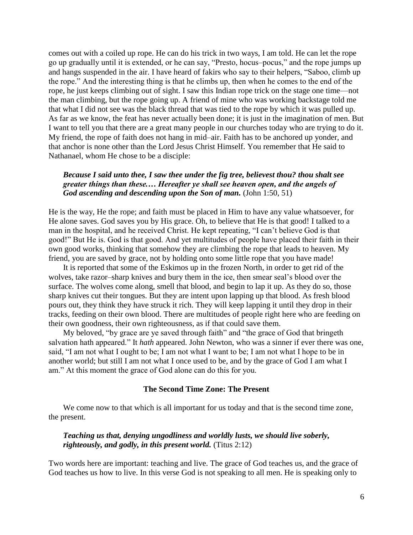comes out with a coiled up rope. He can do his trick in two ways, I am told. He can let the rope go up gradually until it is extended, or he can say, "Presto, hocus–pocus," and the rope jumps up and hangs suspended in the air. I have heard of fakirs who say to their helpers, "Saboo, climb up the rope." And the interesting thing is that he climbs up, then when he comes to the end of the rope, he just keeps climbing out of sight. I saw this Indian rope trick on the stage one time—not the man climbing, but the rope going up. A friend of mine who was working backstage told me that what I did not see was the black thread that was tied to the rope by which it was pulled up. As far as we know, the feat has never actually been done; it is just in the imagination of men. But I want to tell you that there are a great many people in our churches today who are trying to do it. My friend, the rope of faith does not hang in mid–air. Faith has to be anchored up yonder, and that anchor is none other than the Lord Jesus Christ Himself. You remember that He said to Nathanael, whom He chose to be a disciple:

# *Because I said unto thee, I saw thee under the fig tree, believest thou? thou shalt see greater things than these.… Hereafter ye shall see heaven open, and the angels of God ascending and descending upon the Son of man.* (John 1:50, 51)

He is the way, He the rope; and faith must be placed in Him to have any value whatsoever, for He alone saves. God saves you by His grace. Oh, to believe that He is that good! I talked to a man in the hospital, and he received Christ. He kept repeating, "I can't believe God is that good!‖ But He is. God is that good. And yet multitudes of people have placed their faith in their own good works, thinking that somehow they are climbing the rope that leads to heaven. My friend, you are saved by grace, not by holding onto some little rope that you have made!

It is reported that some of the Eskimos up in the frozen North, in order to get rid of the wolves, take razor–sharp knives and bury them in the ice, then smear seal's blood over the surface. The wolves come along, smell that blood, and begin to lap it up. As they do so, those sharp knives cut their tongues. But they are intent upon lapping up that blood. As fresh blood pours out, they think they have struck it rich. They will keep lapping it until they drop in their tracks, feeding on their own blood. There are multitudes of people right here who are feeding on their own goodness, their own righteousness, as if that could save them.

My beloved, "by grace are ye saved through faith" and "the grace of God that bringeth salvation hath appeared." It *hath* appeared. John Newton, who was a sinner if ever there was one, said, "I am not what I ought to be; I am not what I want to be; I am not what I hope to be in another world; but still I am not what I once used to be, and by the grace of God I am what I am." At this moment the grace of God alone can do this for you.

#### **The Second Time Zone: The Present**

We come now to that which is all important for us today and that is the second time zone, the present.

## *Teaching us that, denying ungodliness and worldly lusts, we should live soberly, righteously, and godly, in this present world.* (Titus 2:12)

Two words here are important: teaching and live. The grace of God teaches us, and the grace of God teaches us how to live. In this verse God is not speaking to all men. He is speaking only to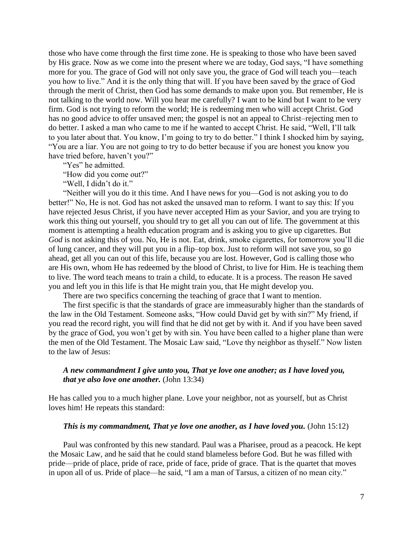those who have come through the first time zone. He is speaking to those who have been saved by His grace. Now as we come into the present where we are today, God says, "I have something more for you. The grace of God will not only save you, the grace of God will teach you—teach you how to live." And it is the only thing that will. If you have been saved by the grace of God through the merit of Christ, then God has some demands to make upon you. But remember, He is not talking to the world now. Will you hear me carefully? I want to be kind but I want to be very firm. God is not trying to reform the world; He is redeeming men who will accept Christ. God has no good advice to offer unsaved men; the gospel is not an appeal to Christ–rejecting men to do better. I asked a man who came to me if he wanted to accept Christ. He said, "Well, I'll talk to you later about that. You know, I'm going to try to do better." I think I shocked him by saying, ―You are a liar. You are not going to try to do better because if you are honest you know you have tried before, haven't you?"

"Yes" he admitted.

"How did you come out?"

"Well, I didn't do it."

―Neither will you do it this time. And I have news for you—God is not asking you to do better!" No, He is not. God has not asked the unsaved man to reform. I want to say this: If you have rejected Jesus Christ, if you have never accepted Him as your Savior, and you are trying to work this thing out yourself, you should try to get all you can out of life. The government at this moment is attempting a health education program and is asking you to give up cigarettes. But *God* is not asking this of you. No, He is not. Eat, drink, smoke cigarettes, for tomorrow you'll die of lung cancer, and they will put you in a flip–top box. Just to reform will not save you, so go ahead, get all you can out of this life, because you are lost. However, God is calling those who are His own, whom He has redeemed by the blood of Christ, to live for Him. He is teaching them to live. The word teach means to train a child, to educate. It is a process. The reason He saved you and left you in this life is that He might train you, that He might develop you.

There are two specifics concerning the teaching of grace that I want to mention.

The first specific is that the standards of grace are immeasurably higher than the standards of the law in the Old Testament. Someone asks, "How could David get by with sin?" My friend, if you read the record right, you will find that he did not get by with it. And if you have been saved by the grace of God, you won't get by with sin. You have been called to a higher plane than were the men of the Old Testament. The Mosaic Law said, "Love thy neighbor as thyself." Now listen to the law of Jesus:

## *A new commandment I give unto you, That ye love one another; as I have loved you, that ye also love one another.* (John 13:34)

He has called you to a much higher plane. Love your neighbor, not as yourself, but as Christ loves him! He repeats this standard:

#### *This is my commandment, That ye love one another, as I have loved you.* (John 15:12)

Paul was confronted by this new standard. Paul was a Pharisee, proud as a peacock. He kept the Mosaic Law, and he said that he could stand blameless before God. But he was filled with pride—pride of place, pride of race, pride of face, pride of grace. That is the quartet that moves in upon all of us. Pride of place—he said, "I am a man of Tarsus, a citizen of no mean city."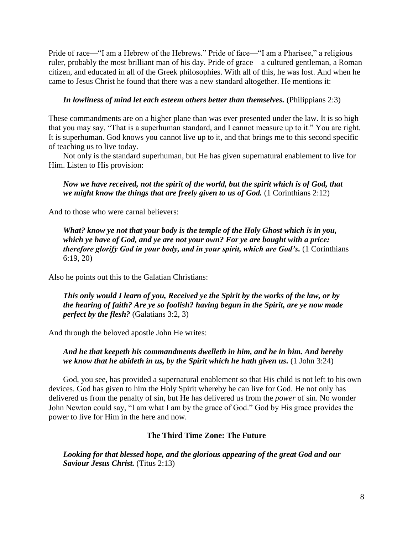Pride of race—"I am a Hebrew of the Hebrews." Pride of face—"I am a Pharisee," a religious ruler, probably the most brilliant man of his day. Pride of grace—a cultured gentleman, a Roman citizen, and educated in all of the Greek philosophies. With all of this, he was lost. And when he came to Jesus Christ he found that there was a new standard altogether. He mentions it:

# *In lowliness of mind let each esteem others better than themselves.* (Philippians 2:3)

These commandments are on a higher plane than was ever presented under the law. It is so high that you may say, "That is a superhuman standard, and I cannot measure up to it." You are right. It is superhuman. God knows you cannot live up to it, and that brings me to this second specific of teaching us to live today.

Not only is the standard superhuman, but He has given supernatural enablement to live for Him. Listen to His provision:

# *Now we have received, not the spirit of the world, but the spirit which is of God, that we might know the things that are freely given to us of God.* (1 Corinthians 2:12)

And to those who were carnal believers:

*What? know ye not that your body is the temple of the Holy Ghost which is in you, which ye have of God, and ye are not your own? For ye are bought with a price: therefore glorify God in your body, and in your spirit, which are God's.* (1 Corinthians 6:19, 20)

Also he points out this to the Galatian Christians:

# *This only would I learn of you, Received ye the Spirit by the works of the law, or by the hearing of faith? Are ye so foolish? having begun in the Spirit, are ye now made perfect by the flesh?* (Galatians 3:2, 3)

And through the beloved apostle John He writes:

## *And he that keepeth his commandments dwelleth in him, and he in him. And hereby we know that he abideth in us, by the Spirit which he hath given us.* (1 John 3:24)

God, you see, has provided a supernatural enablement so that His child is not left to his own devices. God has given to him the Holy Spirit whereby he can live for God. He not only has delivered us from the penalty of sin, but He has delivered us from the *power* of sin. No wonder John Newton could say, "I am what I am by the grace of God." God by His grace provides the power to live for Him in the here and now.

## **The Third Time Zone: The Future**

*Looking for that blessed hope, and the glorious appearing of the great God and our Saviour Jesus Christ.* (Titus 2:13)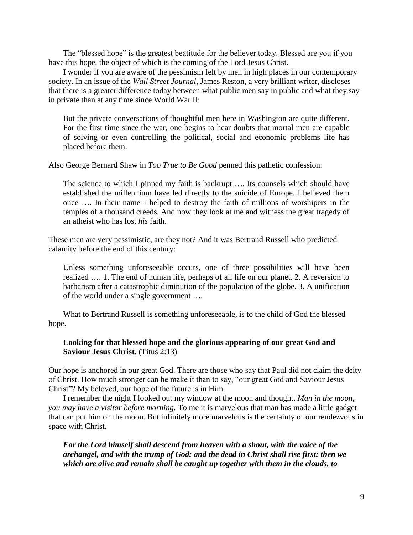The "blessed hope" is the greatest beatitude for the believer today. Blessed are you if you have this hope, the object of which is the coming of the Lord Jesus Christ.

I wonder if you are aware of the pessimism felt by men in high places in our contemporary society. In an issue of the *Wall Street Journal*, James Reston, a very brilliant writer, discloses that there is a greater difference today between what public men say in public and what they say in private than at any time since World War II:

But the private conversations of thoughtful men here in Washington are quite different. For the first time since the war, one begins to hear doubts that mortal men are capable of solving or even controlling the political, social and economic problems life has placed before them.

Also George Bernard Shaw in *Too True to Be Good* penned this pathetic confession:

The science to which I pinned my faith is bankrupt …. Its counsels which should have established the millennium have led directly to the suicide of Europe. I believed them once …. In their name I helped to destroy the faith of millions of worshipers in the temples of a thousand creeds. And now they look at me and witness the great tragedy of an atheist who has lost *his* faith.

These men are very pessimistic, are they not? And it was Bertrand Russell who predicted calamity before the end of this century:

Unless something unforeseeable occurs, one of three possibilities will have been realized …. 1. The end of human life, perhaps of all life on our planet. 2. A reversion to barbarism after a catastrophic diminution of the population of the globe. 3. A unification of the world under a single government ….

What to Bertrand Russell is something unforeseeable, is to the child of God the blessed hope.

## **Looking for that blessed hope and the glorious appearing of our great God and Saviour Jesus Christ.** (Titus 2:13)

Our hope is anchored in our great God. There are those who say that Paul did not claim the deity of Christ. How much stronger can he make it than to say, "our great God and Saviour Jesus Christ"? My beloved, our hope of the future is in Him.

I remember the night I looked out my window at the moon and thought, *Man in the moon, you may have a visitor before morning.* To me it is marvelous that man has made a little gadget that can put him on the moon. But infinitely more marvelous is the certainty of our rendezvous in space with Christ.

*For the Lord himself shall descend from heaven with a shout, with the voice of the archangel, and with the trump of God: and the dead in Christ shall rise first: then we which are alive and remain shall be caught up together with them in the clouds, to*